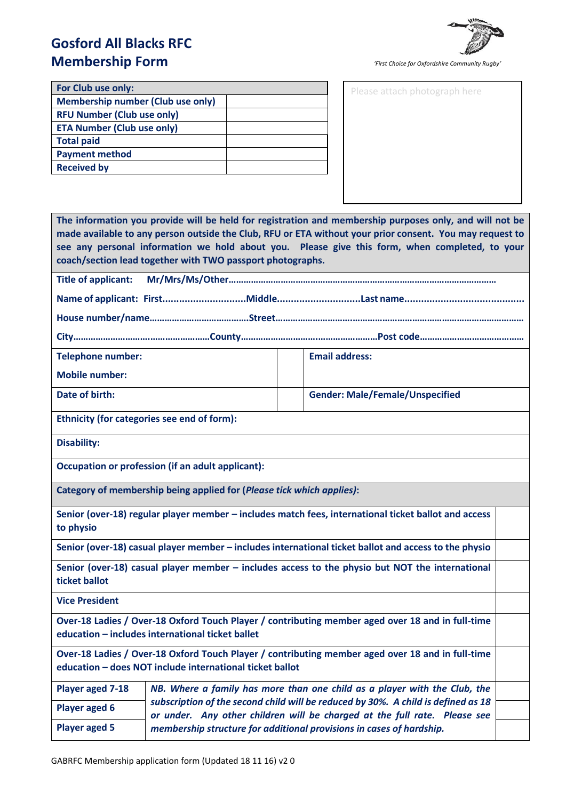# **Gosford All Blacks RFC Membership Form**

*'First Choice for Oxfordshire Community Rugby'*

Please attach photograph here

| For Club use only:                       |  |
|------------------------------------------|--|
| <b>Membership number (Club use only)</b> |  |
| <b>RFU Number (Club use only)</b>        |  |
| <b>ETA Number (Club use only)</b>        |  |
| <b>Total paid</b>                        |  |
| <b>Payment method</b>                    |  |
| <b>Received by</b>                       |  |
|                                          |  |

| The information you provide will be held for registration and membership purposes only, and will not be<br>made available to any person outside the Club, RFU or ETA without your prior consent. You may request to<br>see any personal information we hold about you. Please give this form, when completed, to your<br>coach/section lead together with TWO passport photographs. |                                                                                                                                                                |  |                                                                                                       |  |
|-------------------------------------------------------------------------------------------------------------------------------------------------------------------------------------------------------------------------------------------------------------------------------------------------------------------------------------------------------------------------------------|----------------------------------------------------------------------------------------------------------------------------------------------------------------|--|-------------------------------------------------------------------------------------------------------|--|
| Title of applicant:                                                                                                                                                                                                                                                                                                                                                                 |                                                                                                                                                                |  |                                                                                                       |  |
|                                                                                                                                                                                                                                                                                                                                                                                     |                                                                                                                                                                |  |                                                                                                       |  |
|                                                                                                                                                                                                                                                                                                                                                                                     |                                                                                                                                                                |  |                                                                                                       |  |
|                                                                                                                                                                                                                                                                                                                                                                                     |                                                                                                                                                                |  |                                                                                                       |  |
| <b>Telephone number:</b>                                                                                                                                                                                                                                                                                                                                                            |                                                                                                                                                                |  | <b>Email address:</b>                                                                                 |  |
| <b>Mobile number:</b>                                                                                                                                                                                                                                                                                                                                                               |                                                                                                                                                                |  |                                                                                                       |  |
| Date of birth:                                                                                                                                                                                                                                                                                                                                                                      |                                                                                                                                                                |  | <b>Gender: Male/Female/Unspecified</b>                                                                |  |
|                                                                                                                                                                                                                                                                                                                                                                                     | Ethnicity (for categories see end of form):                                                                                                                    |  |                                                                                                       |  |
| <b>Disability:</b>                                                                                                                                                                                                                                                                                                                                                                  |                                                                                                                                                                |  |                                                                                                       |  |
|                                                                                                                                                                                                                                                                                                                                                                                     | Occupation or profession (if an adult applicant):                                                                                                              |  |                                                                                                       |  |
|                                                                                                                                                                                                                                                                                                                                                                                     | Category of membership being applied for (Please tick which applies):                                                                                          |  |                                                                                                       |  |
| Senior (over-18) regular player member - includes match fees, international ticket ballot and access<br>to physio                                                                                                                                                                                                                                                                   |                                                                                                                                                                |  |                                                                                                       |  |
|                                                                                                                                                                                                                                                                                                                                                                                     |                                                                                                                                                                |  | Senior (over-18) casual player member - includes international ticket ballot and access to the physio |  |
| Senior (over-18) casual player member - includes access to the physio but NOT the international<br>ticket ballot                                                                                                                                                                                                                                                                    |                                                                                                                                                                |  |                                                                                                       |  |
| <b>Vice President</b>                                                                                                                                                                                                                                                                                                                                                               |                                                                                                                                                                |  |                                                                                                       |  |
|                                                                                                                                                                                                                                                                                                                                                                                     | education - includes international ticket ballet                                                                                                               |  | Over-18 Ladies / Over-18 Oxford Touch Player / contributing member aged over 18 and in full-time      |  |
|                                                                                                                                                                                                                                                                                                                                                                                     | education - does NOT include international ticket ballot                                                                                                       |  | Over-18 Ladies / Over-18 Oxford Touch Player / contributing member aged over 18 and in full-time      |  |
| Player aged 7-18                                                                                                                                                                                                                                                                                                                                                                    | NB. Where a family has more than one child as a player with the Club, the                                                                                      |  |                                                                                                       |  |
| <b>Player aged 6</b>                                                                                                                                                                                                                                                                                                                                                                | subscription of the second child will be reduced by 30%. A child is defined as 18<br>or under. Any other children will be charged at the full rate. Please see |  |                                                                                                       |  |

*membership structure for additional provisions in cases of hardship.*

**Player aged 5**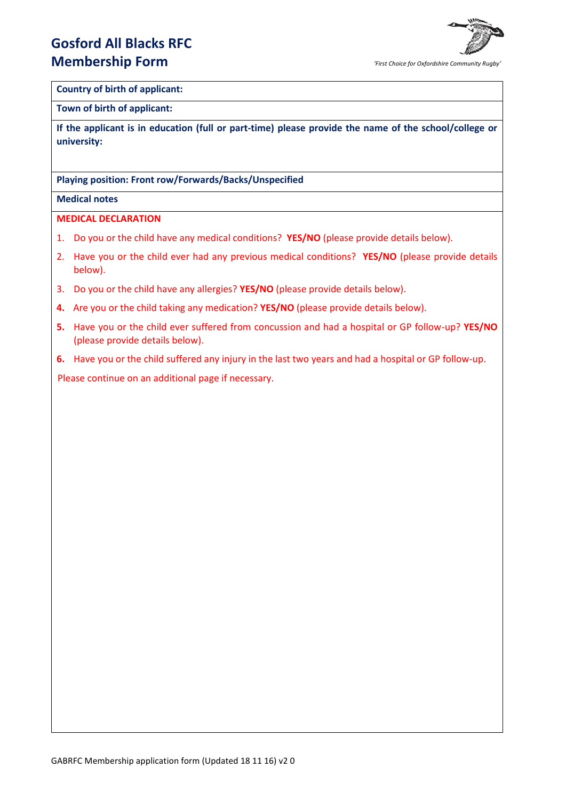## **Gosford All Blacks RFC Membership Form**



### **Country of birth of applicant:**

#### **Town of birth of applicant:**

**If the applicant is in education (full or part-time) please provide the name of the school/college or university:**

### **Playing position: Front row/Forwards/Backs/Unspecified**

### **Medical notes**

### **MEDICAL DECLARATION**

- 1. Do you or the child have any medical conditions? **YES/NO** (please provide details below).
- 2. Have you or the child ever had any previous medical conditions? **YES/NO** (please provide details below).
- 3. Do you or the child have any allergies? **YES/NO** (please provide details below).
- **4.** Are you or the child taking any medication? **YES/NO** (please provide details below).
- **5.** Have you or the child ever suffered from concussion and had a hospital or GP follow-up? **YES/NO** (please provide details below).
- **6.** Have you or the child suffered any injury in the last two years and had a hospital or GP follow-up.

Please continue on an additional page if necessary.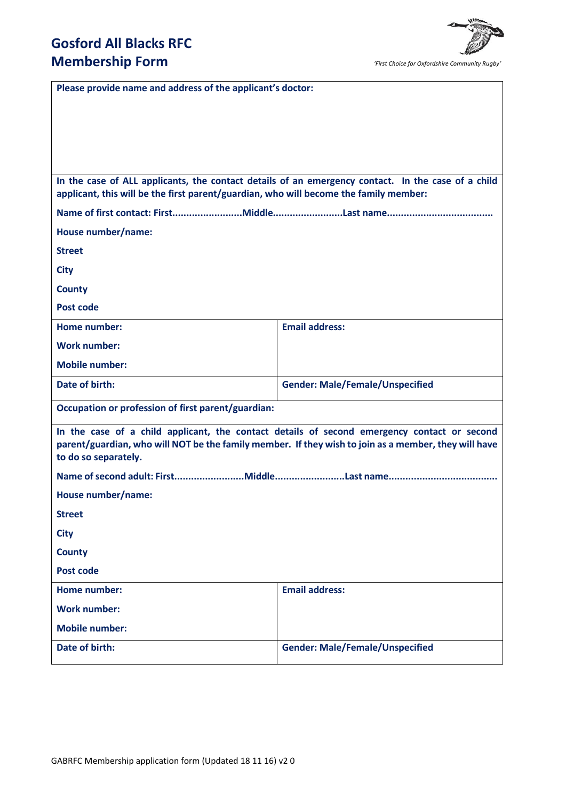

*'First Choice for Oxfordshire Community Rugby'*

| Please provide name and address of the applicant's doctor:                                                                                                                                                                  |                                        |  |  |  |
|-----------------------------------------------------------------------------------------------------------------------------------------------------------------------------------------------------------------------------|----------------------------------------|--|--|--|
|                                                                                                                                                                                                                             |                                        |  |  |  |
|                                                                                                                                                                                                                             |                                        |  |  |  |
|                                                                                                                                                                                                                             |                                        |  |  |  |
|                                                                                                                                                                                                                             |                                        |  |  |  |
| In the case of ALL applicants, the contact details of an emergency contact. In the case of a child<br>applicant, this will be the first parent/guardian, who will become the family member:                                 |                                        |  |  |  |
|                                                                                                                                                                                                                             |                                        |  |  |  |
| House number/name:                                                                                                                                                                                                          |                                        |  |  |  |
| <b>Street</b>                                                                                                                                                                                                               |                                        |  |  |  |
| <b>City</b>                                                                                                                                                                                                                 |                                        |  |  |  |
| <b>County</b>                                                                                                                                                                                                               |                                        |  |  |  |
| Post code                                                                                                                                                                                                                   |                                        |  |  |  |
| Home number:                                                                                                                                                                                                                | <b>Email address:</b>                  |  |  |  |
| <b>Work number:</b>                                                                                                                                                                                                         |                                        |  |  |  |
| <b>Mobile number:</b>                                                                                                                                                                                                       |                                        |  |  |  |
| Date of birth:                                                                                                                                                                                                              | <b>Gender: Male/Female/Unspecified</b> |  |  |  |
| Occupation or profession of first parent/guardian:                                                                                                                                                                          |                                        |  |  |  |
| In the case of a child applicant, the contact details of second emergency contact or second<br>parent/guardian, who will NOT be the family member. If they wish to join as a member, they will have<br>to do so separately. |                                        |  |  |  |
|                                                                                                                                                                                                                             |                                        |  |  |  |
| House number/name:                                                                                                                                                                                                          |                                        |  |  |  |
| <b>Street</b>                                                                                                                                                                                                               |                                        |  |  |  |
| <b>City</b>                                                                                                                                                                                                                 |                                        |  |  |  |
| <b>County</b>                                                                                                                                                                                                               |                                        |  |  |  |
| <b>Post code</b>                                                                                                                                                                                                            |                                        |  |  |  |
| Home number:                                                                                                                                                                                                                | <b>Email address:</b>                  |  |  |  |
| <b>Work number:</b>                                                                                                                                                                                                         |                                        |  |  |  |
| <b>Mobile number:</b>                                                                                                                                                                                                       |                                        |  |  |  |
| Date of birth:                                                                                                                                                                                                              | <b>Gender: Male/Female/Unspecified</b> |  |  |  |